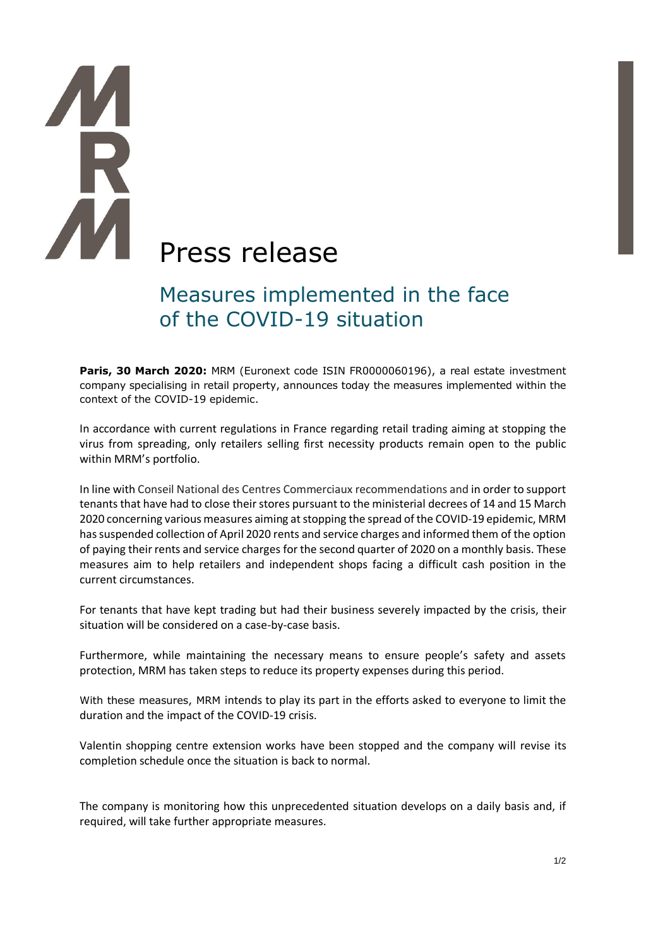# **THE** Press release

# Measures implemented in the face of the COVID-19 situation

Paris, 30 March 2020: MRM (Euronext code ISIN FR0000060196), a real estate investment company specialising in retail property, announces today the measures implemented within the context of the COVID-19 epidemic.

In accordance with current regulations in France regarding retail trading aiming at stopping the virus from spreading, only retailers selling first necessity products remain open to the public within MRM's portfolio.

In line with Conseil National des Centres Commerciaux recommendations and in order to support tenants that have had to close their stores pursuant to the ministerial decrees of 14 and 15 March 2020 concerning various measures aiming at stopping the spread of the COVID-19 epidemic, MRM has suspended collection of April 2020 rents and service charges and informed them of the option of paying their rents and service charges for the second quarter of 2020 on a monthly basis. These measures aim to help retailers and independent shops facing a difficult cash position in the current circumstances.

For tenants that have kept trading but had their business severely impacted by the crisis, their situation will be considered on a case-by-case basis.

Furthermore, while maintaining the necessary means to ensure people's safety and assets protection, MRM has taken steps to reduce its property expenses during this period.

With these measures, MRM intends to play its part in the efforts asked to everyone to limit the duration and the impact of the COVID-19 crisis.

Valentin shopping centre extension works have been stopped and the company will revise its completion schedule once the situation is back to normal.

The company is monitoring how this unprecedented situation develops on a daily basis and, if required, will take further appropriate measures.